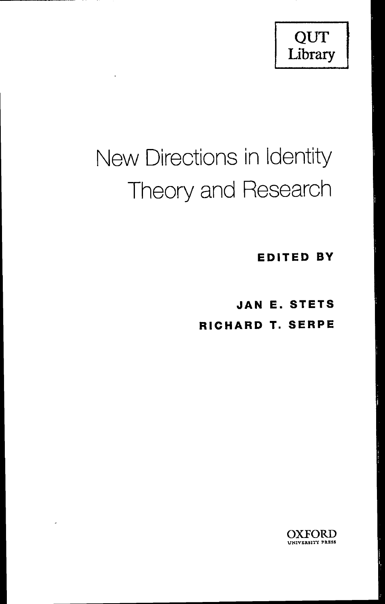# New Directions in Identity Theory and Research

 $\ddot{\phantom{0}}$ 

,

**EDITED BY** 

## **JAN E. STETS RICHARD T. SERPE**

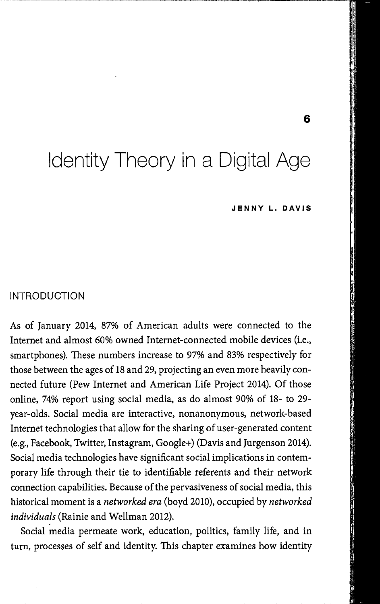# Identity Theory in a Digital Age

#### **JENNY L. DAVIS**

#### INTRODUCTION

As of January 2014, 87% of American adults were connected to the Internet and almost 60% owned Internet-connected mobile devices (i.e., smartphones). These numbers increase to 97% and 83% respectively for those between the ages of 18 and 29, projecting an even more heavily connected future (Pew Internet and American Life Project 2014). Of those online, 74% report using social media, as do almost 90% of 18- to 29 year-olds. Social media are interactive, nonanonymous, network-based Internet technologies that allow for the sharing of user-generated content (e.g., Facebook, Twitter, Instagram, Google+) (Davis and Jurgenson 2014). Social media technologies have significant social implications in contemporary life through their tie to identifiable referents and their network connection capabilities. Because of the pervasiveness of social media, this historical moment is a *networked era* (boyd 2010), occupied by *networked individuals* (Rainie and Wellman 2012).

Social media permeate work, education, politics, family life, and in turn, processes of self and identity. This chapter examines how identity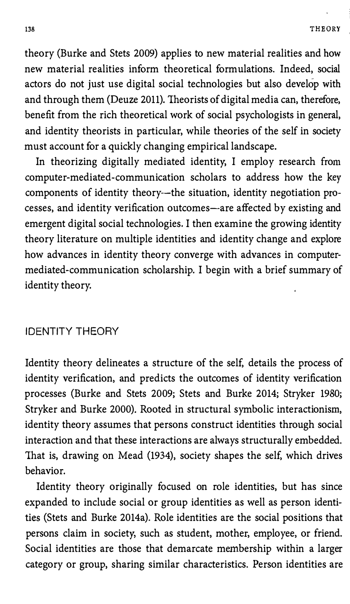theory (Burke and Stets 2009) applies to new material realities and how new material realities inform theoretical formulations. Indeed, social actors do not just use digital social technologies but also develop with and through them (Deuze 2011). Theorists of digital media can, therefore, benefit from the rich theoretical work of social psychologists in general, and identity theorists in particular, while theories of the self in society must account for a quickly changing empirical landscape.

In theorizing digitally mediated identity, I employ research from computer-mediated-communication scholars to address how the key components of identity theory-the situation, identity negotiation processes, and identity verification outcomes-are affected by existing and emergent digital social technologies. I then examine the growing identity theory literature on multiple identities and identity change and explore how advances in identity theory converge with advances in computermediated-communication scholarship. I begin with a brief summary of identity theory.

#### IDENTITY THEORY

Identity theory delineates a structure of the self, details the process of identity verification, and predicts the outcomes of identity verification processes (Burke and Stets 2009; Stets and Burke 2014; Stryker 1980; Stryker and Burke 2000). Rooted in structural symbolic interactionism, identity theory assumes that persons construct identities through social interaction and that these interactions are always structurally embedded. That is, drawing on Mead (1934), society shapes the self, which drives behavior.

Identity theory originally focused on role identities, but has since expanded to include social or group identities as well as person identi*ties* (Stets and Burke 2014a). Role identities are the social positions that persons claim in society, such as student, mother, employee, or friend. Social identities are those that demarcate membership within a larger category or group, sharing similar characteristics. Person identities are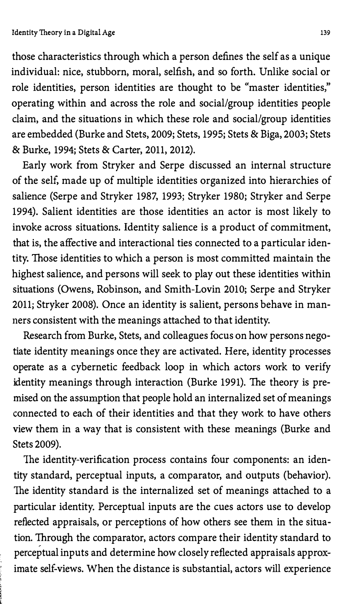those characteristics through which a person defines the self as a unique individual: nice, stubborn, moral, selfish, and so forth. Unlike social or role identities, person identities are thought to be "master identities," operating within and across the role and social/group identities people claim, and the situations in which these role and social/group identities are embedded (Burke and Stets, 2009; Stets, 1995; Stets & Biga, 2003; Stets & Burke, 1994; Stets & Carter, 2011, 2012).

Early work from Stryker and Serpe discussed an internal structure of the self, made up of multiple identities organized into hierarchies of salience (Serpe and Stryker 1987, 1993; Stryker 1980; Stryker and Serpe 1994). Salient identities are those identities an actor is most likely to invoke across situations. Identity salience is a product of commitment, that is, the affective and interactional ties connected to a particular identity. Those identities to which a person is most committed maintain the highest salience, and persons will seek to play out these identities within situations (Owens, Robinson, and Smith-Lovin 2010; Serpe and Stryker 2011; Stryker 2008). Once an identity is salient, persons behave in manners consistent with the meanings attached to that identity.

Research from Burke, Stets, and colleagues focus on how persons negotiate identity meanings once they are activated. Here, identity processes operate as a cybernetic feedback loop in which actors work to verify identity meanings through interaction (Burke 1991). The theory is premised on the assumption that people hold an internalized set of meanings connected to each of their identities and that they work to have others view them in a way that is consistent with these meanings (Burke and Stets 2009).

The identity-verification process contains four components: an identity standard, perceptual inputs, a comparator, and outputs (behavior). The identity standard is the internalized set of meanings attached to a particular identity. Perceptual inputs are the cues actors use to develop reflected appraisals, or perceptions of how others see them in the situation. Through the comparator, actors compare their identity standard to perceptual inputs and determine how closely reflected appraisals approximate self-views. When the distance is substantial, actors will experience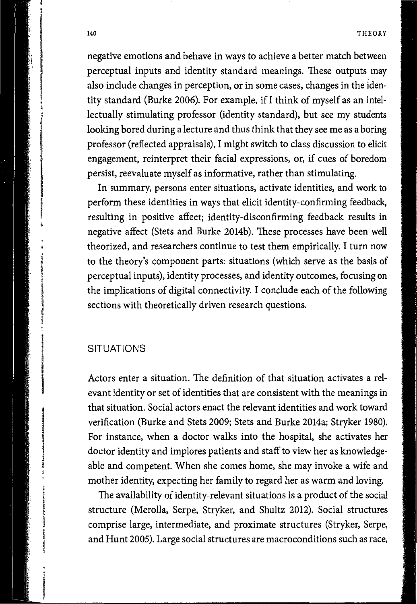negative emotions and behave in ways to achieve a better match between perceptual inputs and identity standard meanings. These outputs may also include changes in perception, or in some cases, changes in the identity standard (Burke 2006). For example, if I think of myself as an intellectually stimulating professor (identity standard), but see my students looking bored during a lecture and thus think that they see me as a boring professor (reflected appraisals), I might switch to class discussion to elicit engagement, reinterpret their facial expressions, or, if cues of boredom persist, reevaluate myself as informative, rather than stimulating.

In summary, persons enter situations, activate identities, and work to perform these identities in ways that elicit identity-confirming feedback, resulting in positive affect; identity-disconfirming feedback results in negative affect (Stets and Burke 2014b). These processes have been well theorized, and researchers continue to test them empirically. I turn now to the theory's component parts: situations (which serve as the basis of perceptual inputs), identity processes, and identity outcomes, focusing on the implications of digital connectivity. I conclude each of the following sections with theoretically driven research questions.

#### SITUATIONS

Actors enter a situation. The definition of that situation activates a relevant identity or set of identities that are consistent with the meanings in that situation. Social actors enact the relevant identities and work toward verification (Burke and Stets 2009; Stets and Burke 2014a; Stryker 1980). For instance, when a doctor walks into the hospital, she activates her doctor identity and implores patients and staff to view her as knowledgeable and competent. When she comes home, she may invoke a wife and mother identity, expecting her family to regard her as warm and loving.

The availability of identity-relevant situations is a product of the social structure (Merolla, Serpe, Stryker, and Shultz 2012). Social structures comprise large, intermediate, and proximate structures (Stryker, Serpe, and Hunt 2005). Large social structures are macroconditions such as race,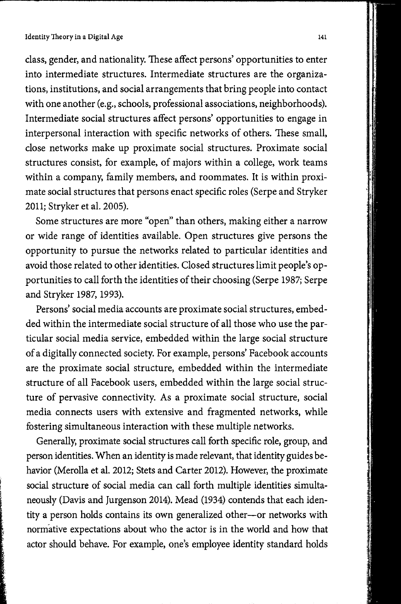class, gender, and nationality. These affect persons' opportunities to enter into intermediate structures. Intermediate structures are the organizations, institutions, and social arrangements that bring people into contact with one another (e.g., schools, professional associations, neighborhoods). Intermediate social structures affect persons' opportunities to engage in interpersonal interaction with specific networks of others. These small, close networks make up proximate social structures. Proximate social structures consist, for example, of majors within a college, work teams within a company, family members, and roommates. It is within proximate social structures that persons enact specific roles (Serpe and Stryker 2011; Stryker et al. 2005).

Some structures are more "open" than others, making either a narrow or wide range of identities available. Open structures give persons the opportunity to pursue the networks related to particular identities and avoid those related to other identities. Closed structures limit people's opportunities to call forth the identities of their choosing (Serpe 1987; Serpe and Stryker 1987, 1993).

Persons' social media accounts are proximate social structures, embedded within the intermediate social structure of all those who use the particular social media service, embedded within the large social structure of a digitally connected society. For example, persons' Facebook accounts are the proximate social structure, embedded within the intermediate structure of all Facebook users, embedded within the large social structure of pervasive connectivity. As a proximate social structure, social media connects users with extensive and fragmented networks, while fostering simultaneous interaction with these multiple networks.

Generally, proximate social structures call forth specific role, group, and person identities. When an identity is made relevant, that identity guides behavior (Merolla et al. 2012; Stets and Carter 2012). However, the proximate social structure of social media can call forth multiple identities simultaneously (Davis and Jurgenson 2014). Mead (1934) contends that each identity a person holds contains its own generalized other--or networks with normative expectations about who the actor is in the world and how that actor should behave. For example, one's employee identity standard holds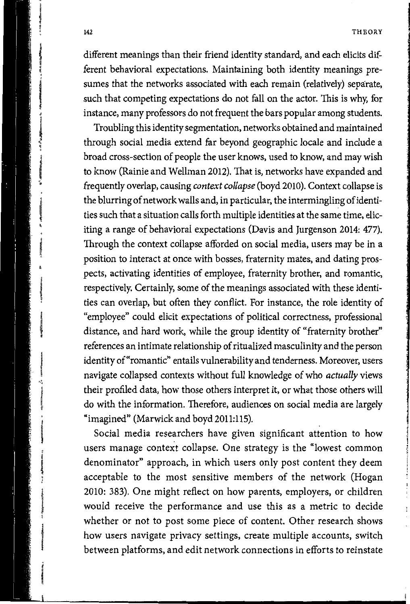different meanings than their friend identity standard, and each elicits different behavioral expectations. Maintaining both identity meanings presumes that the networks associated with each remain (relatively) separate, such that competing expectations do not fall on the actor. This is why, for instance, many professors do not frequent the bars popular among students.

Troubling this identity segmentation, networks obtained and maintained through social media extend far beyond geographic locale and include a broad cross-section of people the user knows, used to know, and may wish to know (Rainie and Wellman 2012). That is, networks have expanded and frequently overlap, causing *context collapse* (boyd 2010). Context collapse is the blurring of network walls and, in particular, the intermingling of identities such that a situation calls forth multiple identities at the same time, eliciting a range of behavioral expectations (Davis and Jurgenson 2014: 477). Through the context collapse afforded on social media, users may be in a position to interact at once with bosses, fraternity mates, and dating prospects, activating identities of employee, fraternity brother, and romantic, respectively. Certainly, some of the meanings associated with these identities can overlap, but often they conflict. For instance, the role identity of "employee" could elicit expectations of political correctness, professional distance, and hard work, while the group identity of "fraternity brother" references an intimate relationship of ritualized masculinity and the person identity of "romantic" entails vulnerability and tenderness. Moreover, users navigate collapsed contexts without full knowledge of who *actually* views their profiled data, how those others interpret it, or what those others will do with the information. Therefore, audiences on social media are largely "imagined" (Marwick and boyd 2011:115).

Social media researchers have given significant attention to how users manage context collapse. One strategy is the "lowest common denominator" approach, in which users only post content they deem acceptable to the most sensitive members of the network (Hogan 2010: 383). One might reflect on how parents, employers, or children would receive the performance and use this as a metric to decide whether or not to post some piece of content. Other research shows how users navigate privacy settings, create multiple accounts, switch between platforms, and edit network connections in efforts to reinstate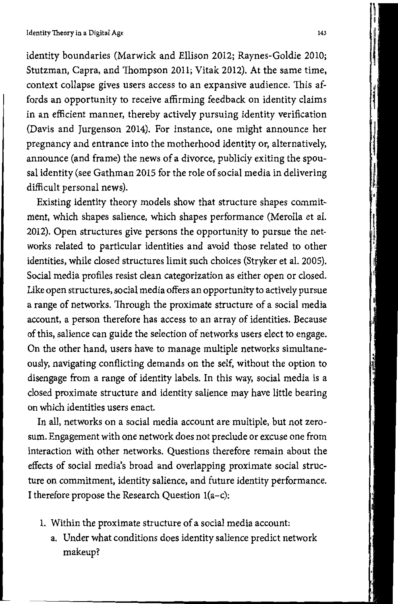identity boundaries (Marwick and Ellison 2012; Raynes-Goldie 2010; Stutzman, Capra, and Thompson 2011; Vitak 2012). At the same time, context collapse gives users access to an expansive audience. This affords an opportunity to receive affirming feedback on identity claims in an efficient manner, thereby actively pursuing identity verification (Davis and Jurgenson 2014). For instance, one might announce her pregnancy and entrance into the motherhood identity or, alternatively, announce (and frame) the news of a divorce, publicly exiting the spousal identity (see Gathman 2015 for the role of social media in delivering difficult personal news).

Existing identity theory models show that structure shapes commitment, which shapes salience, which shapes performance (Merolla et al. 2012). Open structures give persons the opportunity to pursue the networks related to particular identities and avoid those related to other identities, while closed structures limit such choices (Stryker et al. 2005). Social media profiles resist clean categorization as either open or closed. Like open structures, social media offers an opportunity to actively pursue a range of networks. Through the proximate structure of a social media account, a person therefore has access to an array of identities. Because of this, salience can guide the selection of networks users elect to engage. On the other hand, users have to manage multiple networks simultaneously, navigating conflicting demands on the self, without the option to disengage from a range of identity labels. In this way, social media is a closed proximate structure and identity salience may have little bearing on which identities users enact.

In all, networks on a social media account are multiple, but not zerosum. Engagement with one network does not preclude or excuse one from interaction with other networks. Questions therefore remain about the effects of social media's broad and overlapping proximate social structure on commitment, identity salience, and future identity performance. I therefore propose the Research Question 1(a-c):

- 1. Within the proximate structure of a social media account:
	- a. Under what conditions does identity salience predict network makeup?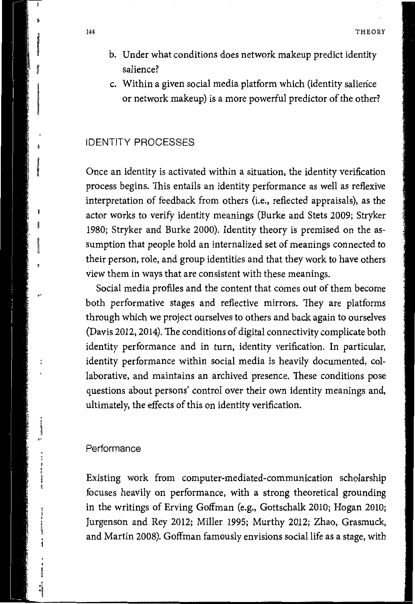- b. Under what conditions does network makeup predict identity salience?
- c. Within a given social media platform which (identity salience or network makeup) is a more powerful predictor of the other?

#### IDENTITY PROCESSES

Once an identity is activated within a situation, the identity verification process begins. This entails an identity performance as well as reflexive interpretation of feedback from others (i.e., reflected appraisals), as the actor works to verify identity meanings (Burke and Stets 2009; Stryker 1980; Stryker and Burke 2000). Identity theory is premised on the assumption that people hold an internalized set of meanings connected to their person, role, and group identities and that they work to have others view them in ways that are consistent with these meanings.

Social media profiles and the content that comes out of them become both performative stages and reflective mirrors. They are platforms through which we project ourselves to others and back again to ourselves (Davis 2012, 2014). The conditions of digital connectivity complicate both identity performance and in turn, identity verification. In particular, identity performance within social media is heavily documented, collaborative, and maintains an archived presence. These conditions pose questions about persons' control over their own identity meanings and, ultimately, the effects of this on identity verification.

#### Performance

Existing work from computer-mediated-communication scholarship focuses heavily on performance, with a strong theoretical grounding in the writings of Erving Goffman (e.g., Gottschalk 2010; Hogan 2010; Jurgenson and Rey 2012; Miller 1995; Murthy 2012; Zhao, Grasmuck, and Martin 2008). Goffman famously envisions social life as a stage, with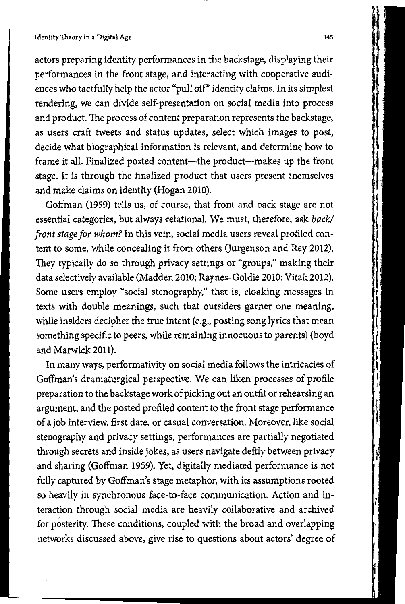actors preparing identity performances in the backstage, displaying their performances in the front stage, and interacting with cooperative audiences who tactfully help the actor "pull off" identity claims. In its simplest rendering, we can divide self-presentation on social media into process and product. The process of content preparation represents the backstage, as users craft tweets and status updates, select which images to post, decide what biographical information is relevant, and determine how to frame it all. Finalized posted content--the product--makes up the front stage. It is through the finalized product that users present themselves and make claims on identity (Hogan 2010).

Goffman (1959) tells us, of course, that front and back stage are not essential categories, but always relational. We must, therefore, ask *back*/ *front stage for whom?* In this vein, social media users reveal profiled content to some, while concealing it from others (Jurgenson and Rey 2012). They typically do so through privacy settings or "groups," making their data selectively available (Madden 2010; Raynes-Goldie 2010; Vitak 2012). Some users employ "social stenography," that is, cloaking messages in texts with double meanings, such that outsiders garner one meaning, while insiders decipher the true intent (e.g., posting song lyrics that mean something specific to peers, while remaining innocuous to parents) (boyd and Marwick 2011).

In many ways, performativity on social media follows the intricacies of Goffman's dramaturgical perspective. We can liken processes of profile preparation to the backstage work of picking out an outfit or rehearsing an argument, and the posted profiled content to the front stage performance of a job interview, first date, or casual conversation. Moreover, like social stenography and privacy settings, performances are partially negotiated through secrets and inside jokes, as users navigate deftly between privacy and sharing (Goffman 1959). Yet, digitally mediated performance is not fully captured by Goffman's stage metaphor, with its assumptions rooted so heavily in synchronous face-to-face communication. Action and interaction through social media are heavily collaborative and archived for posterity. These conditions, coupled with the broad and overlapping networks discussed above, give rise to questions about actors' degree of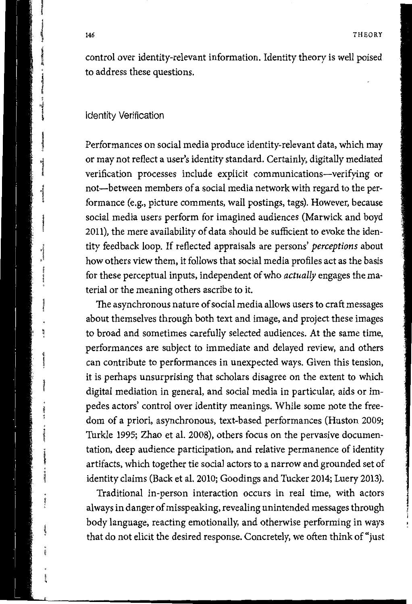control over identity-relevant information. Identity theory is well poised to address these questions.

#### Identity Verification

Performances on social media produce identity-relevant data, which may or may not reflect a user's identity standard. Certainly, digitally mediated verification processes include explicit communications-verifying or not-between members of a social media network with regard to the performance (e.g., picture comments, wall postings, tags). However, because social media users perform for imagined audiences (Marwick and boyd 2011), the mere availability of data should be sufficient to evoke the identity feedback loop. If reflected appraisals are persons' *perceptions* about how others view them, it follows that social media profiles act as the basis for these perceptual inputs, independent of who *actually* engages the material or the meaning others ascribe to it.

The asynchronous nature of social media allows users to craft messages about themselves through both text and image, and project these images to broad and sometimes carefully selected audiences. At the same time, performances are subject to immediate and delayed review, and others can contribute to performances in unexpected ways. Given this tension, it is perhaps unsurprising that scholars disagree on the extent to which digital mediation in general, and social media in particular, aids or impedes actors' control over identity meanings. While some note the freedom of a priori, asynchronous, text-based performances (Huston 2009; Turkle 1995; Zhao et al. 2008), others focus on the pervasive documentation, deep audience participation, and relative permanence of identity artifacts, which together tie social actors to a narrow and grounded set of identity claims (Back et al. 2010; Goodings and Tucker 2014; Luery 2013).

Traditional in-person interaction occurs in real time, with actors always in danger of misspeaking, revealing unintended messages through body language, reacting emotionally, and otherwise performing in ways that do not elicit the desired response. Concretely, we often thinkof"just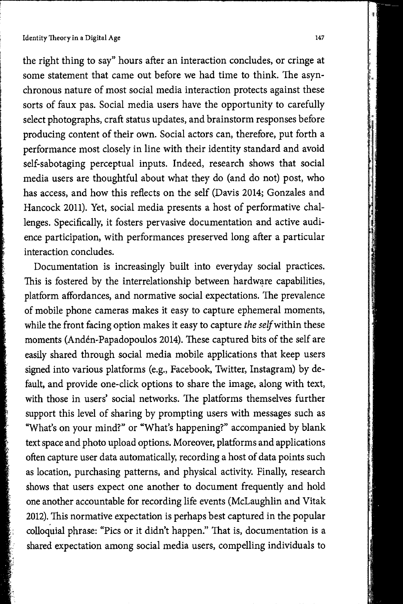the right thing to say" hours after an interaction concludes, or cringe at some statement that came out before we had time to think. The asynchronous nature of most social media interaction protects against these sorts of faux pas. Social media users have the opportunity to carefully select photographs, craft status updates, and brainstorm responses before producing content of their own. Social actors can, therefore, put forth a performance most closely in line with their identity standard and avoid self-sabotaging perceptual inputs. Indeed, research shows that social media users are thoughtful about what they do (and do not) post, who has access, and how this reflects on the self (Davis 2014; Gonzales and Hancock 2011). Yet, social media presents a host of performative challenges. Specifically, it fosters pervasive documentation and active audience participation, with performances preserved long after a particular interaction concludes.

Documentation is increasingly built into everyday social practices. This is fostered by the interrelationship between hardware capabilities, platform affordances, and normative social expectations. The prevalence of mobile phone cameras makes it easy to capture ephemeral moments, while the front facing option makes it easy to capture *the self* within these moments (Anden-Papadopoulos 2014). These captured bits of the self are easily shared through social media mobile applications that keep users signed into various platforms (e.g., Facebook, Twitter, Instagram) by default, and provide one-click options to share the image, along with text, with those in users' social networks. The platforms themselves further support this level of sharing by prompting users with messages such as "What's on your mind?" or "What's happening?" accompanied by blank text space and photo upload options. Moreover, platforms and applications often capture user data automatically, recording a host of data points such as location, purchasing patterns, and physical activity. Finally, research shows that users expect one another to document frequently and hold one another accountable for recording life events (McLaughlin and Vitak 2012). This normative expectation is perhaps best captured in the popular colloquial phrase: "Pies or it didn't happen." That is, documentation is a shared expectation among social media users, compelling individuals to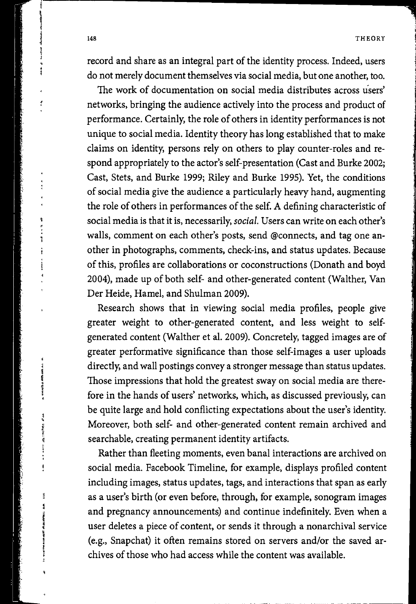record and share as an integral part of the identity process. Indeed, users do not merely document themselves via social media, but one another, too.

The work of documentation on social media distributes across users' networks, bringing the audience actively into the process and product of performance. Certainly, the role of others in identity performances is not unique to social media. Identity theory has long established that to make claims on identity, persons rely on others to play counter-roles and respond appropriately to the actor's self-presentation (Cast and Burke 2002; Cast, Stets, and Burke 1999; Riley and Burke 1995). Yet, the conditions of social media give the audience a particularly heavy hand, augmenting the role of others in performances of the self. A defining characteristic of social media is that it is, necessarily, *social.* Users can write on each other's walls, comment on each other's posts, send @connects, and tag one another in photographs, comments, check-ins, and status updates. Because of this, profiles are collaborations or coconstructions (Donath and boyd 2004), made up of both self- and other-generated content (Walther, Van Der Heide, Hamel, and Shulman 2009).

Research shows that in viewing social media profiles, people give greater weight to other-generated content, and less weight to selfgenerated content (Walther et al. 2009). Concretely, tagged images are of greater performative significance than those self-images a user uploads directly, and wall postings convey a stronger message than status updates. Those impressions that hold the greatest sway on social media are therefore in the hands of users' networks, which, as discussed previously, can be quite large and hold conflicting expectations about the user's identity. Moreover, both self- and other-generated content remain archived and searchable, creating permanent identity artifacts.

Rather than fleeting moments, even banal interactions are archived on social media. Facebook Timeline, for example, displays profiled content including images, status updates, tags, and interactions that span as early as a user's birth (or even before, through, for example, sonogram images and pregnancy announcements) and continue indefinitely. Even when a user deletes a piece of content, or sends it through a nonarchival service (e.g., Snapchat) it often remains stored on servers and/or the saved archives of those who had access while the content was available.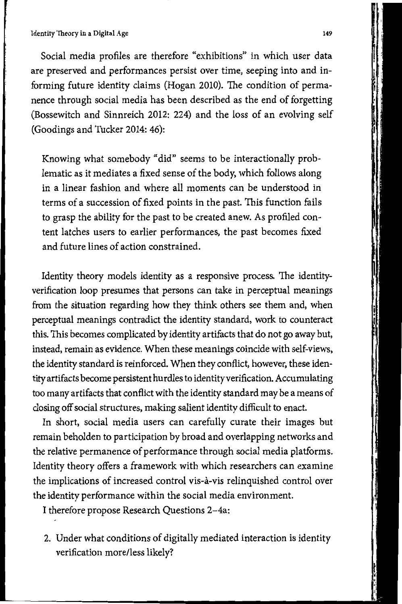Social media profiles are therefore "exhibitions" in which user data are preserved and performances persist over time, seeping into and informing future identity claims (Hogan 2010). The condition of permanence through social media has been described as the end of forgetting (Bossewitch and Sinnreich 2012: 224) and the loss of an evolving self (Goodings and Tucker 2014: 46):

Knowing what somebody "did" seems to be interactionally problematic as it mediates a fixed sense of the body, which follows along in a linear fashion and where all moments can be understood in terms of a succession of fixed points in the past. This function fails to grasp the ability for the past to be created anew. As profiled content latches users to earlier performances, the past becomes fixed and future lines of action constrained.

Identity theory models identity as a responsive process. The identityverification loop presumes that persons can take in perceptual meanings from the situation regarding how they think others see them and, when perceptual meanings contradict the identity standard, work to counteract this. This becomes complicated by identity artifacts that do not go away but, instead, remain as evidence. When these meanings coincide with self-views, the identity standard is reinforced. When they conflict, however, these identity artifacts become persistent hurdles to identity verification. Accumulating too many artifacts that conflict with the identity standard may be a means of closing off social structures, making salient identity difficult to enact.

In short, social media users can carefully curate their images but remain beholden to participation by broad and overlapping networks and the relative permanence of performance through social media platforms. Identity theory offers a framework with which researchers can examine the implications of increased control vis-a-vis relinquished control over the identity performance within the social media environment.

I therefore propose Research Questions 2-4a:

2. Under what conditions of digitally mediated interaction is identity verification more/less likely?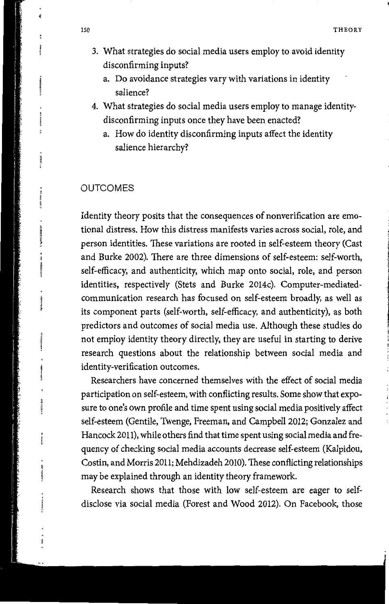- 3. What strategies do social media users employ to avoid identity disconfirming inputs?
	- a. Do avoidance strategies vary with variations in identity salience?
- 4. What strategies do social media users employ to manage identitydisconfirming inputs once they have been enacted?
	- a. How do identity disconfirming inputs affect the identity salience hierarchy?

#### **OUTCOMES**

Identity theory posits that the consequences of nonverification are emotional distress. How this distress manifests varies across social, role, and person identities. These variations are rooted in self-esteem theory (Cast and Burke 2002). There are three dimensions of self-esteem: self-worth, self-efficacy, and authenticity, which map onto social, role, and person <sup>l</sup> identities, respectively (Stets and Burke 2014c). Computer-mediatedcommunication research has focused on self-esteem broadly, as well as its component parts (self-worth, self-efficacy, and authenticity), as both predictors and outcomes of social media use. Although these studies do not employ identity theory directly, they are useful in starting to derive research questions about the relationship between social media and identity-verification outcomes.

Researchers have concerned themselves with the effect of social media participation on self-esteem, with conflicting results. Some show that exposure to one's own profile and time spent using social media positively affect self-esteem (Gentile, Twenge, Freeman, and Campbell 2012; Gonzalez and Hancock 2011), while others find that time spent using social media and frequency of checking social media accounts decrease self-esteem (Kalpidou, Costin, and Morris 2011; Mehdizadeh 2010). These conflicting relationships may be explained through an identity theory framework.

Research shows that those with low self-esteem are eager to selfdisclose via social media (Forest and Wood 2012). On Facebook, those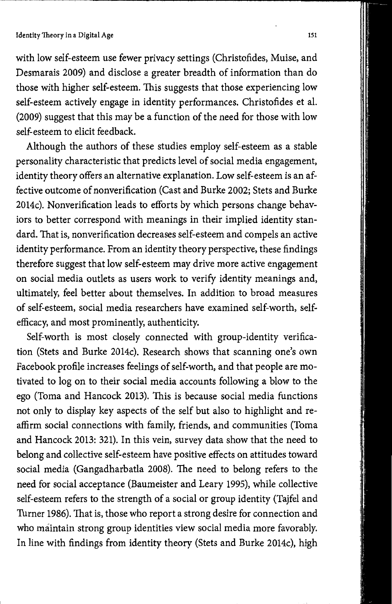with low self-esteem use fewer privacy settings (Christofides, Muise, and Desmarais 2009) and disclose a greater breadth of information than do those with higher self-esteem. This suggests that those experiencing low self-esteem actively engage in identity performances. Christofides et al. (2009) suggest that this may be a function of the need for those with low self-esteem to elicit feedback.

Although the authors of these studies employ self-esteem as a stable personality characteristic that predicts level of social media engagement, identity theory offers an alternative explanation. Low self-esteem is an affective outcome of nonverification (Cast and Burke 2002; Stets and Burke 2014c). Nonverification leads to efforts by which persons change behaviors to better correspond with meanings in their implied identity standard. That is, nonverification decreases self-esteem and compels an active identity performance. From an identity theory perspective, these findings therefore suggest that low self-esteem may drive more active engagement on social media outlets as users work to verify identity meanings and, ultimately, feel better about themselves. In addition to broad measures of self-esteem, social media researchers have examined self-worth, selfefficacy, and most prominently, authenticity.

Self-worth is most closely connected with group-identity verification (Stets and Burke 2014c). Research shows that scanning one's own Facebook profile increases feelings of self-worth, and that people are motivated to log on to their social media accounts following a blow to the ego (Toma and Hancock 2013). This is because social media functions not only to display key aspects of the self but also to highlight and reaffirm social connections with family, friends, and communities (Toma and Hancock 2013: 321). In this vein, survey data show that the need to belong and collective self-esteem have positive effects on attitudes toward social media (Gangadharbatla 2008). The need to belong refers to the need for social acceptance (Baumeister and Leary 1995), while collective self-esteem refers to the strength of a social or group identity (Tajfel and Turner 1986). That is, those who report a strong desire for connection and who maintain strong group identities view social media more favorably. In line with findings from identity theory (Stets and Burke 2014c), high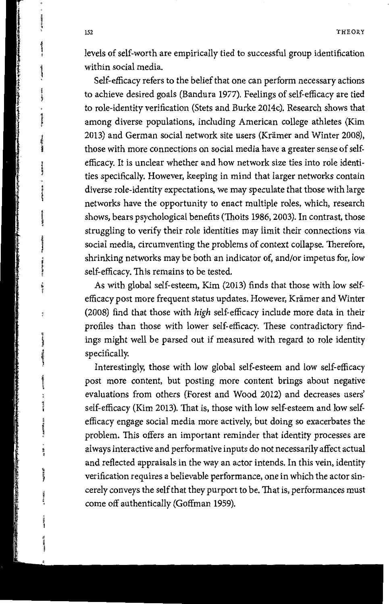levels of self-worth are empirically tied to successful group identification within social media.

Self-efficacy refers to the belief that one can perform necessary actions to achieve desired goals (Bandura 1977). Feelings of self-efficacy are tied to role-identity verification (Stets and Burke 2014c). Research shows that among diverse populations, including American college athletes (Kim 2013) and German social network site users (Krämer and Winter 2008), those with more connections on social media have a greater sense of selfefficacy. It is unclear whether and how network size ties into role identities specifically. However, keeping in mind that larger networks contain diverse role-identity expectations, we may speculate that those with large networks have the opportunity to enact multiple roles, which, research shows, bears psychological benefits (Thoits 1986, 2003). In contrast, those struggling to verify their role identities may limit their connections via social media, circumventing the problems of context collapse. Therefore, shrinking networks may be both an indicator of, and/or impetus for, low self-efficacy. This remains to be tested.

As with global self-esteem, Kim (2013) finds that those with low selfefficacy post more frequent status updates. However, Krämer and Winter (2008) find that those with *high* self-efficacy include more data in their profiles than those with lower self-efficacy. These contradictory findings might well be parsed out if measured with regard to role identity specifically.

Interestingly, those with low global self-esteem and low self-efficacy post more content, but posting more content brings about negative evaluations from others (Forest and Wood 2012) and decreases users' self-efficacy (Kim 2013). That is, those with low self-esteem and low selfefficacy engage social media more actively, but doing so exacerbates the problem. This offers an important reminder that identity processes are always interactive and performative inputs do not necessarily affect actual and reflected appraisals in the way an actor intends. In this vein, identity verification requires a believable performance, one in which the actor sincerely conveys the self that they purport to be. That is, performances must come off authentically (Goffman 1959).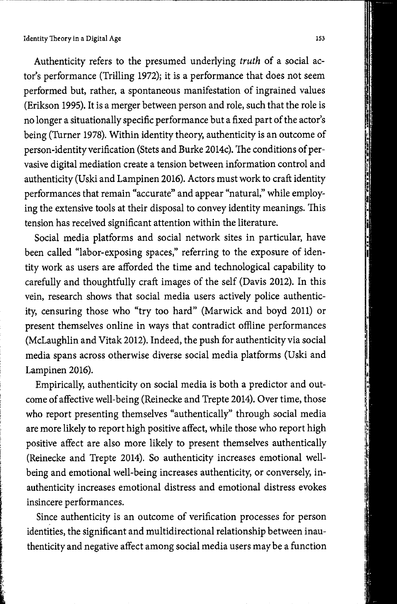Authenticity refers to the presumed underlying *truth* of a social actor's performance (Trilling 1972); it is a performance that does not seem performed but, rather, a spontaneous manifestation of ingrained values (Erikson 1995). It is a merger between person and role, such that the role is no longer a situationally specific performance but a fixed part of the actor's being (Turner 1978). Within identity theory, authenticity is an outcome of person-identity verification (Stets and Burke 2014c). The conditions of pervasive digital mediation create a tension between information control and authenticity (Uski and Lampinen 2016). Actors must work to craft identity performances that remain "accurate" and appear "natural," while employing the extensive tools at their disposal to convey identity meanings. This tension has received significant attention within the literature.

Social media platforms and social network sites in particular, have been called "labor-exposing spaces," referring to the exposure of identity work as users are afforded the time and technological capability to carefully and thoughtfully craft images of the self (Davis 2012). In this vein, research shows that social media users actively police authenticity, censuring those who "try too hard" (Marwick and boyd 2011) or present themselves online in ways that contradict offline performances (McLaughlin and Vitak 2012). Indeed, the push for authenticity via social media spans across otherwise diverse social media platforms (Uski and Lampinen 2016).

Empirically, authenticity on social media is both a predictor and outcome of affective well-being (Reinecke and Trepte 2014). Over time, those who report presenting themselves "authentically" through social media are more likely to report high positive affect, while those who report high positive affect are also more likely to present themselves authentically (Reinecke and Trepte 2014). So authenticity increases emotional wellbeing and emotional well-being increases authenticity, or conversely, inauthenticity increases emotional distress and emotional distress evokes insincere performances.

Since authenticity is an outcome of verification processes for person identities, the significant and multidirectional relationship between inauthenticity and negative affect among social media users may be a function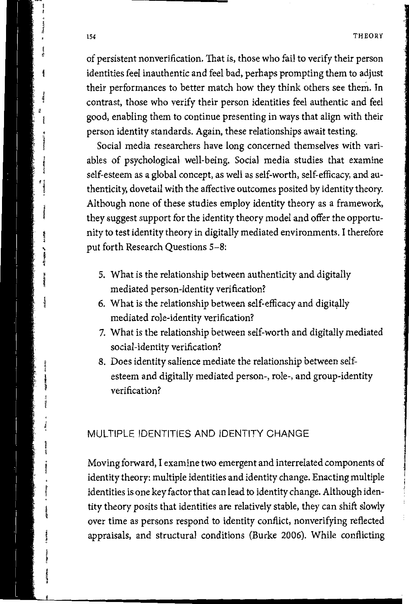of persistent nonverification. That is, those who fail to verify their person identities feel inauthentic and feel bad, perhaps prompting them to adjust their performances to better match how they think others see them. In contrast, those who verify their person identities feel authentic and feel good, enabling them to continue presenting in ways that align with their person identity standards. Again, these relationships await testing.

Social media researchers have long concerned themselves with variables of psychological well-being. Social media studies that examine self-esteem as a global concept, as well as self-worth, self-efficacy, and authenticity, dovetail with the affective outcomes posited by identity theory. Although none of these studies employ identity theory as a framework, they suggest support for the identity theory model and offer the opportunity to test identity theory in digitally mediated environments. I therefore put forth Research Questions 5-8:

- 5. What is the relationship between authenticity and digitally mediated person-identity verification?
- 6. What is the relationship between self-efficacy and digitally mediated role-identity verification?
- 7. What is the relationship between self-worth and digitally mediated social-identity verification?
- 8. Does identity salience mediate the relationship between selfesteem and digitally mediated person-, role-, and group-identity verification?

#### MULTIPLE IDENTITIES AND IDENTITY CHANGE

Moving forward, I examine two emergent and interrelated components of identity theory: multiple identities and identity change. Enacting multiple identities is one key factor that can lead to identity change. Although identity theory posits that identities are relatively stable, they can shift slowly over time as persons respond to identity conflict, nonverifying reflected appraisals, and structural conditions (Burke 2006). While conflicting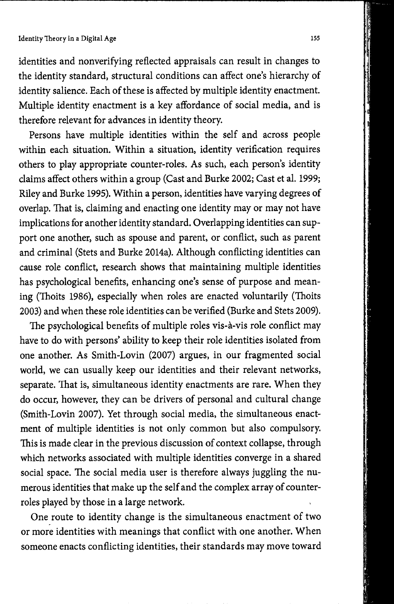identities and nonverifying reflected appraisals can result in changes to the identity standard, structural conditions can affect one's hierarchy of identity salience. Each of these is affected by multiple identity enactment. Multiple identity enactment is a key affordance of social media, and is therefore relevant for advances in identity theory.

Persons have multiple identities within the self and across people within each situation. Within a situation, identity verification requires others to play appropriate counter-roles. As such, each person's identity claims affect others within a group (Cast and Burke 2002; Cast et al. 1999; Riley and Burke 1995). Within a person, identities have varying degrees of overlap. That is, claiming and enacting one identity may or may not have implications for another identity standard. Overlapping identities can support one another, such as spouse and parent, or conflict, such as parent and criminal (Stets and Burke 2014a). Although conflicting identities can cause role conflict, research shows that maintaining multiple identities has psychological benefits, enhancing one's sense of purpose and meaning (Thoits 1986), especially when roles are enacted voluntarily (Thoits 2003) and when these role identities can be verified (Burke and Stets 2009).

The psychological benefits of multiple roles vis-à-vis role conflict may have to do with persons' ability to keep their role identities isolated from one another. As Smith-Lovin (2007) argues, in our fragmented social world, we can usually keep our identities and their relevant networks, separate. That is, simultaneous identity enactments are rare. When they do occur, however, they can be drivers of personal and cultural change (Smith-Lovin 2007). Yet through social media, the simultaneous enactment of multiple identities is not only common but also compulsory. This is made clear in the previous discussion of context collapse, through which networks associated with multiple identities converge in a shared social space. The social media user is therefore always juggling the numerous identities that make up the self and the complex array of counterroles played by those in a large network.

One route to identity change is the simultaneous enactment of two or more identities with meanings that conflict with one another. When someone enacts conflicting identities, their standards may move toward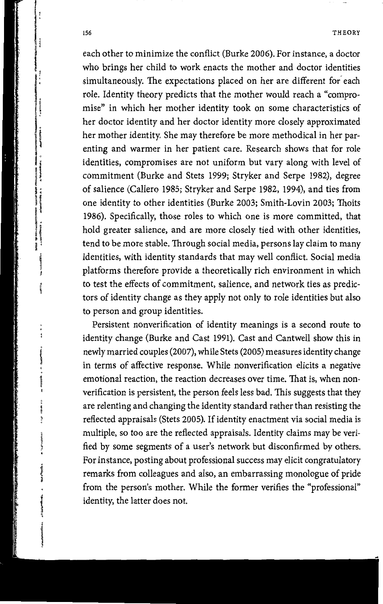each other to minimize the conflict (Burke 2006). For instance, a doctor who brings her child to work enacts the mother and doctor identities simultaneously. The expectations placed on her are different for each role. Identity theory predicts that the mother would reach a "compromise" in which her mother identity took on some characteristics of her doctor identity and her doctor identity more closely approximated her mother identity. She may therefore be more methodical in her parenting and warmer in her patient care. Research shows that for role identities, compromises are not uniform but vary along with level of commitment (Burke and Stets 1999; Stryker and Serpe 1982), degree of salience (Callero 1985; Stryker and Serpe 1982, 1994), and ties from one identity to other identities (Burke 2003; Smith-Lovin 2003; Thoits 1986). Specifically, those roles to which one is more committed, that hold greater salience, and are more closely tied with other identities, tend to be more stable. Through social media, persons lay claim to many identities, with identity standards that may well conflict. Social media platforms therefore provide a theoretically rich environment in which to test the effects of commitment, salience, and network ties as predictors of identity change as they apply not only to role identities but also to person and group identities.

Persistent nonverification of identity meanings is a second route to identity change (Burke and Cast 1991). Cast and Cantwell show this in newly married couples (2007), while Stets (2005) measures identity change in terms of affective response. While nonverification elicits a negative emotional reaction, the reaction decreases over time. That is, when nonverification is persistent, the person feels less bad. This suggests that they are relenting and changing the identity standard rather than resisting the reflected appraisals (Stets 2005). If identity enactment via social media is multiple, so too are the reflected appraisals. Identity claims may be verified by some segments of a user's network but disconfirmed by others. For instance, posting about professional success may elicit congratulatory remarks from colleagues and also, an embarrassing monologue of pride from the person's mother. While the former verifies the "professional" identity, the latter does not.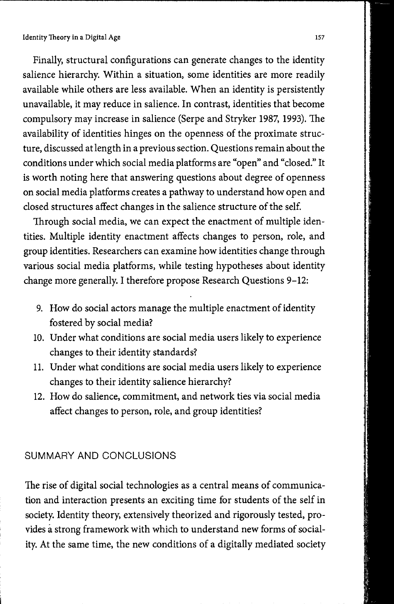Finally, structural configurations can generate changes to the identity salience hierarchy. Within a situation, some identities are more readily available while others are less available. When an identity is persistently unavailable, it may reduce in salience. In contrast, identities that become compulsory may increase in salience (Serpe and Stryker 1987, 1993). The availability of identities hinges on the openness of the proximate structure, discussed at length in a previous section. Questions remain about the conditions under which social media platforms are "open" and "closed." It is worth noting here that answering questions about degree of openness on social media platforms creates a pathway to understand how open and closed structures affect changes in the salience structure of the self.

Through social media, we can expect the enactment of multiple identities. Multiple identity enactment affects changes to person, role, and group identities. Researchers can examine how identities change through various social media platforms, while testing hypotheses about identity change more generally. I therefore propose Research Questions 9-12:

- 9. How do social actors manage the multiple enactment of identity fostered by social media?
- 10. Under what conditions are social media users likely to experience changes to their identity standards?
- 11. Under what conditions are social media users likely to experience changes to their identity salience hierarchy?
- 12. How do salience, commitment, and network ties via social media affect changes to person, role, and group identities?

#### SUMMARY AND CONCLUSIONS

The rise of digital social technologies as a central means of communication and interaction presents an exciting time for students of the self in society. Identity theory, extensively theorized and rigorously tested, provides a strong framework with which to understand new forms of sociality. At the same time, the new conditions of a digitally mediated society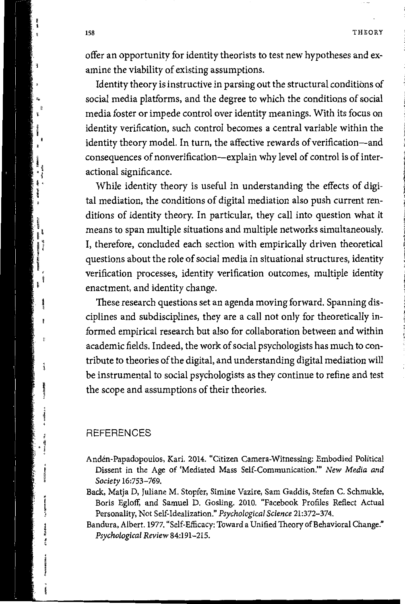offer an opportunity for identity theorists to test new hypotheses and examine the viability of existing assumptions.

Identity theory is instructive in parsing out the structural conditions of social media platforms, and the degree to which the conditions of social media foster or impede control over identity meanings. With its focus on identity verification, such control becomes a central variable within the identity theory model. In turn, the affective rewards of verification-and consequences of nonverification-explain why level of control is of interactional significance.

While identity theory is useful in understanding the effects of digital mediation, the conditions of digital mediation also push current renditions of identity theory. In particular, they call into question what it means to span multiple situations and multiple networks simultaneously. I, therefore, concluded each section with empirically driven theoretical questions about the role of social media in situational structures, identity verification processes, identity verification outcomes, multiple identity enactment, and identity change.

These research questions set an agenda moving forward. Spanning disciplines and subdisciplines, they are a call not only for theoretically informed empirical research but also for collaboration between and within academic fields. Indeed, the work of social psychologists has much to contribute to theories of the digital, and understanding digital mediation will be instrumental to social psychologists as they continue to refine and test the scope and assumptions of their theories.

#### REFERENCES

- Anden-Papadopoulos, Kari. 2014. "Citizen Camera-Witnessing: Embodied Political Dissent in the Age of 'Mediated Mass Self-Communication."' *New Media and Society* 16:753-769.
- Back, Matja D, Juliane M. Stopfer, Simine Vazire, Sam Gaddis, Stefan C. Schmukle, Boris Egloff, and Samuel D. Gosling. 2010. "Facebook Profiles Reflect Actual Personality, Not Self-Idealization." *Psychological Science* 21:372-374.
- Bandura, Albert. 1977. "Self-Efficacy: Toward a Unified Theory of Behavioral Change." *Psychological Review* 84:191-215.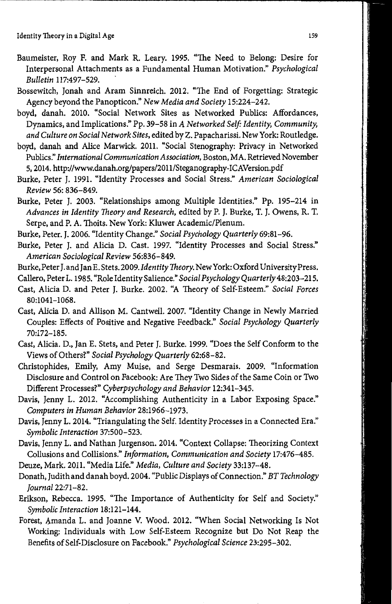- Baumeister, Roy F. and Mark R. Leary. 1995. "The Need to Belong: Desire for Interpersonal Attachments as a Fundamental Human Motivation." *Psychological Bulletin* 117:497-529.
- Bossewitch, Jonah and Aram Sinnreich. 2012. "The End of Forgetting: Strategic Agency beyond the Panopticon." *New Media and Society* 15:224-242.
- boyd, danah. 2010. "Social Network Sites as Networked Publics: Affordances, Dynamics, and Implications." Pp. 39-58 in *A Networked Self: Identity, Community, and Culture on Social Network Sites,* edited by Z. Papacharissi. New York: Routledge.
- boyd, danah and Alice Marwick. 2011. "Social Stenography: Privacy in Networked Publics." *International Communication Association,* Boston, MA. Retrieved November 5, 2014. http://www.danah.org/papers/2011/Steganography-ICAVersion.pdf
- Burke, Peter J. 1991. "Identity Processes and Social Stress." *American Sociological Review* 56: 836-849.
- Burke, Peter J. 2003. "Relationships among Multiple Identities." Pp. 195-214 in *Advances in Identity Theory and Research,* edited by P. J. Burke, T. J. Owens, R. T. Serpe, and P. A. Thoits. New York: Kluwer Academic/Plenum.
- Burke, Peter. J. 2006. "Identity Change." *Social Psychology Quarterly* 69:81-96.
- Burke, Peter J. and Alicia D. Cast. 1997. "Identity Processes and Social Stress." *American Sociological Review* 56:836-849.
- Burke, Peter J. and Jan E. Stets. *2009.Identity Theory.* New York: Oxford University Press.
- Callero, Peter L. 1985. "Role Identity Salience." *Social Psychology Quarterly* 48:203-215.
- Cast, Alicia D. and Peter J. Burke. 2002. "A Theory of Self-Esteem." *Social Forces*  80:1041-1068.
- Cast, Alicia D. and Allison M. Cantwell. 2007. "Identity Change in Newly Married Couples: Effects of Positive and Negative Feedback." *Social Psychology Quarterly*  70:172-185.
- Cast, Alicia. D., Jan E. Stets, and Peter J. Burke. 1999. "Does the Self Conform to the Views of Others?" *Social Psychology Quarterly* 62:68-82.
- Christophides, Emily, Amy Muise, and Serge Desmarais. 2009. "Information Disclosure and Control on Facebook: Are They Two Sides of the Same Coin or Two Different Processes?" *Cyberpsychology and Behavior* 12:341-345.
- Davis, Jenny L. 2012. "Accomplishing Authenticity in a Labor Exposing Space." *Computers in Human Behavior* 28:1966-1973.
- Davis, Jenny L. 2014. "Triangulating the Self. Identity Processes in a Connected Era." *Symbolic Interaction* 37:500-523.
- Davis, Jenny L. and Nathan Jurgenson. 2014. "Context Collapse: Theorizing Context Collusions and Collisions." *Information, Communication and Society* 17:476-485.
- Deuze, Mark. 2011. "Media Life." *Media, Culture and Society* 33:137-48.
- Donath, Judith and danah boyd. 2004. "Public Displays of Connection." *BT Technology Journal22:7l-82.*
- Erikson, Rebecca. 1995. "The Importance of Authenticity for Self and Society." *Symbolic Interaction* 18:121-144.
- Forest, Amanda L. and Joanne V. Wood. 2012. "When Social Networking Is Not Working: Individuals with Low Self-Esteem Recognize but Do Not Reap the Benefits of Self-Disclosure on Facebook." *Psychological Science* 23:295-302.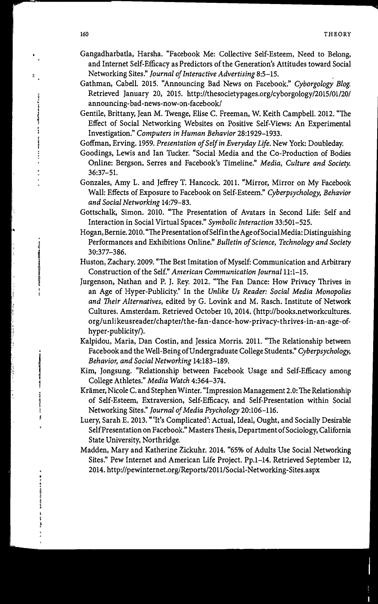- Gangadharbatla, Harsha. "Facebook Me: Collective Self-Esteem, *Need* to Belong, and Internet Self-Efficacy as Predictors of the Generation's Attitudes toward Social Networking Sites." *Journal of Interactive Advertising* 8:5-15. \_
- Gathman, Cabell. 2015. "Announcing Bad News on Facebook." *Cyborgology Blog.*  Retrieved January 20, 2015. http:/lthesocietypages.org/cyborgology/2015/01/20/ announcing-bad-news-now-on-facebook/
- Gentile, Brittany, Jean M. Twenge, Elise C. Freeman, W. Keith Campbell. 2012. "The Effect of Social Networking Websites on Positive Self-Views: An Experimental Investigation." *Computers in Human Behavior* 28:1929-1933.
- Goffman, Erving. 1959. *Presentation of Self in Everyday Life.* New York: Doubleday.
- Goodings, Lewis and Ian Tucker. "Social Media and the Co-Production of Bodies Online: Bergson, Serres and Facebook's Timeline." *Media, Culture and Society.*  36:37-51.
- Gonzales, AmyL. and Jeffrey T. Hancock. 2011. "Mirror, Mirror on My Facebook Wall: Effects of Exposure to Facebook on Self-Esteem." *Cyberpsychology, Behavior and Social Networking* 14:79-83.
- Gottschalk, Simon. 2010. "The Presentation of Avatars in Second Life: Self and Interaction in Social Virtual Spaces." *Symbolic Interaction* 33:501-525.
- Hogan, Bernie. 2010. "ThePresentationofSelfin theAgeofSocialMedia: Distinguishing Performances and Exhibitions Online." *Bulletin of Science, Technology and Society*  30:377-386.
- Huston, Zachary. 2009. "The Best Imitation of Myself: Communication and Arbitrary Construction of the Self." *American Communication Journal* 11:1-15.
- Jurgenson, Nathan and P. J. Rey. 2012. "The Fan Dance: How Privacy Thrives in an Age of Hyper-Publicity." In the *Unlike Us Reader: Social Media Monopolies and Their Alternatives,* edited by G. Lovink and M. Rasch. Institute of Network Cultures. Amsterdam. Retrieved October 10, 2014. (http://books.networkcultures. org/unlikeusreader/chapter/the-fan-dance-how-privacy-thrives-in-an-age-ofhyper-publicity/).
- Kalpidou, Maria, Dan Costin, and Jessica Morris. 2011. "The Relationship between Facebook and the Well-Being of Undergraduate College Students." *Cyberpsychology*, *Behavior, and Social Networking* 14:183-189.
- Kim, Jongsung. "Relationship between Facebook Usage and Self-Efficacy among College Athletes." *Media Watch* 4:364-374.
- Kramer, Nicole C. and Stephen Winter. "Impression Management 2.0: The Relationship of Self-Esteem, Extraversion, Self-Efficacy, and Self-Presentation within Social Networking Sites." *Journal of Media Psychology* 20:106-116.
- Luery, Sarah E. 2013. "'It's Complicated': Actual, Ideal, Ought, and Socially Desirable SelfPresentation on Facebook." Masters Thesis, Department of Sociology, California State University, Northridge.
- Madden, Mary and Katherine Zickuhr. 2014. "65% of Adults Use Social Networking Sites." Pew Internet and American Life Project. Pp.1-14. Retrieved September 12, 2014. http://pewinternet.org/Reports/2011/Social-Networking-Sites.aspx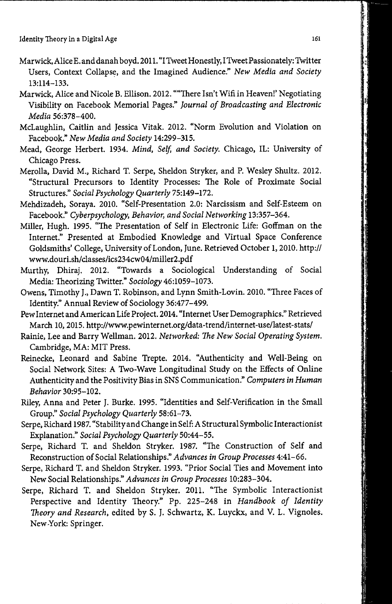- Marwick,AliceE. and danah boyd. 2011. "I Tweet Honestly, I Tweet Passionately: Twitter Users, Context Collapse, and the Imagined Audience." *New Media and Society*  13:114-133.
- Marwick, Alice and Nicole B. Ellison. 2012. ""There Isn't Wifi in Heaven!' Negotiating Visibility on Facebook Memorial Pages." *Journal of Broadcasting and Electronic Media* 56:378-400.
- McLaughlin, Caitlin and Jessica Vitak. 2012. "Norm Evolution and Violation on Facebook." *New Media and Society* 14:299-315.
- Mead, George Herbert. 1934. *Mind, Self, and Society.* Chicago, IL: University of Chicago Press.
- Merolla, David M., Richard T. Serpe, Sheldon Stryker, and P. Wesley Shultz. 2012. "Structural Precursors to Identity Processes: The Role of Proximate Social Structures." *Social Psychology Quarterly* 75:149-172.
- Mehdizadeh, Soraya. 2010. "Self-Presentation 2.0: Narcissism and Self-Esteem on Facebook." *Cyberpsychology, Behavior, and Social Networking* 13:357-364.
- Miller, Hugh. 1995. "The Presentation of Self in Electronic Life: Goffman on the Internet." Presented at Embodied Knowledge and Virtual Space Conference Goldsmiths' College, University of London, June. Retrieved October 1, 2010. http:// www.douri.sh/classes/ics234cw04/miller2.pdf
- Murthy, Dhiraj. 2012. "Towards a Sociological Understanding of Social Media: Theorizing Twitter." *Sociology* 46:1059-1073.
- Owens, Timothy J., Dawn T. Robinson, and Lynn Smith-Lovin. 2010. "Three Faces of Identity." Annual Review of Sociology 36:477-499.
- Pew Internet and American Life Project. 2014. "Internet User Demographics." Retrieved March 10, 2015. http://www.pewinternet.org/data-trend/internet-use/latest-stats/
- Rainie, Lee and Barry Wellman. 2012. *Networked: The New Social Operating System.*  Cambridge, MA: MIT Press.
- Reinecke, Leonard and Sabine Trepte. 2014. "Authenticity and Well-Being on Social Network Sites: A Two-Wave Longitudinal Study on the Effects of Online Authenticity and the Positivity Bias in SNS Communication." *Computers in Human Behavior* 30:95-102.
- Riley, Anna and Peter J. Burke. 1995. "Identities and Self-Verification in the Small Group." *Social Psychology Quarterly* 58:61-73.
- Serpe, Richard 1987. "Stability and Change in Self: A Structural Symbolic Interactionist Explanation." *Social Psychology Quarterly* 50:44-55.
- Serpe, Richard T. and Sheldon Stryker. 1987. "The Construction of Self and Reconstruction of Social Relationships." *Advances in Group Processes* 4:41-66.
- Serpe, Richard T. and Sheldon Stryker. 1993. "Prior Social Ties and Movement into New Social Relationships." *Advances in Group Processes* 10:283-304.
- Serpe, Richard T. and Sheldon Stryker. 2011. "The Symbolic Interactionist Perspective and Identity Theory." Pp. 225-248 in *Handbook of Identity Theory and Research,* edited by S. J. Schwartz, K. Luyckx, and V. L. Vignoles. New-York: Springer.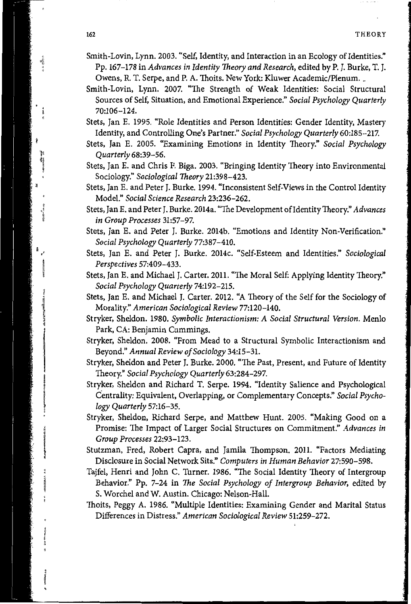- Smith-Lovin, Lynn. 2003. "Self, Identity, and Interaction in an Ecology of Identities." Pp. 167-178 in *Advances in Identity Theory and Research*, edited by P. J. Burke, T. J. Owens, R. T. Serpe, and P. A. Thoits. New York: Kluwer Academic/Plenum.
- Smith-Lovin, Lynn. 2007. "The Strength of Weak Identities: Social Structural Sources of Self, Situation, and Emotional Experience." *Social Psychology Quarterly*  70:106-124.
- Stets, Jan E. 1995. "Role Identities and Person Identities: Gender Identity, Mastery Identity, and Controlling One's Partner." *Social Psychology Quarterly* 60:185-217.
- Stets, Jan E. 2005. "Examining Emotions in Identity Theory." *Social Psychology Quarterly* 68:39-56.
- Stets, Jan E. and Chris F. Biga. 2003. "Bringing Identity Theory into Environmental Sociology." *Sociological Theory* 21:398-423.
- Stets, Jan E. and Peter J. Burke. 1994. "Inconsistent Self-Views in the Control Identity Model." *Social Science Research* 23:236-262.
- Stets, Jan E. and Peter J. Burke. 2014a. "The Development ofldentityTheory." *Advances in Group Processes* 31:57-97.
- Stets, Jan E. and Peter J. Burke. 2014b. "Emotions and Identity Non-Verification." *Social Psychology Quarterly* 77:387-410.
- Stets, Jan E. and Peter J. Burke. 2014c. "Self-Esteem and Identities." *Sociological Perspectives* 57:409-433.
- Stets, Jan E. and Michael J. Carter. 2011. "The Moral Self: Applying Identity Theory." *Social Psychology Quarterly* 74:192-215.
- Stets, Jan E. and Michael J. Carter. 2012. "A Theory of the Self for the Sociology of Morality." *American Sociological Review* 77:120-140.
- Stryker, Sheldon. 1980. *Symbolic Interactionism: A Social Structural Version.* Menlo Park, CA: Benjamin Cummings.
- Stryker, Sheldon. 2008. "From Mead to a Structural Symbolic Interactionism and Beyond." *Annual Review of Sociology* 34:15-31.
- Stryker, Sheldon and Peter J. Burke. 2000. "The Past, Present, and Future of Identity Theory." *Social Psychology Quarterly* 63:284-297.
- Stryker, Sheldon and Richard T. Serpe. 1994. "Identity Salience and Psychological Centrality: Equivalent, Overlapping, or Complementary Concepts." Social Psycho*logy Quarterly* 57:16-35.
- Stryker, Sheldon, Richard Serpe, and Matthew Hunt. 2005. "Making Good on a Promise: The Impact of Larger Social Structures on Commitment." *Advances in Group Processes* 22:93-123.
- Stutzman, Fred, Robert Capra, and Jamila Thompson. 2011. "Factors Mediating Disclosure in Social Network Sits." *Computers in Human Behavior* 27:590-598.
- Tajfel, Henri and John C. Turner. 1986. "The Social Identity Theory of Intergroup Behavior." Pp. 7-24 in *The Social Psychology of Intergroup Behavior,* edited by S. Worchel and W. Austin. Chicago: Nelson-Hall.
- Thoits, Peggy A. 1986. "Multiple Identities: Examining Gender and Marital Status Differences in Distress." *American Sociological Review* 51:259-272.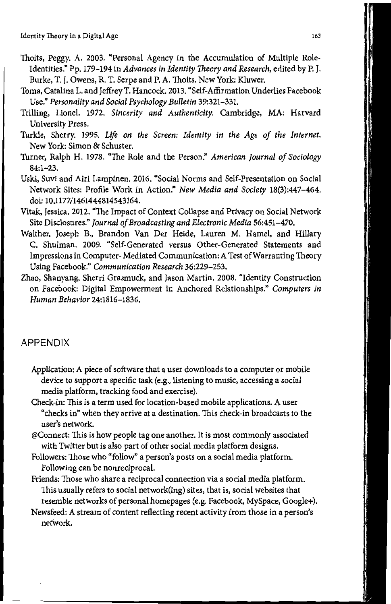- Thoits, Peggy. A. 2003. "Personal Agency in the Accumulation of Multiple Role-Identities." Pp. 179-194 in *Advances in Identity Theory and Research,* edited by P. J. Burke, T. J. Owens, R. T. Serpe and P. A. Thoits. New York: Kluwer.
- Toma, Catalina L. and Jeffrey T. Hancock. 2013. "Self-Affirmation Underlies Facebook Use." *Personality and Social Psychology Bulletin* 39:321-331.
- Trilling, Lionel. 1972. *Sincerity and Authenticity.* Cambridge, MA: Harvard University Press.
- Thrkle, Sherry. 1995. *Life on the Screen: Identity in the Age of the Internet.*  New York: Simon & Schuster.
- Thrner, Ralph H. 1978. "The Role and the Person." *American Journal of Sociology*  84:1-23.
- Uski, Suvi and Airi Lampinen. 2016. "Social Norms and Self-Presentation on Social Network Sites: Profile Work in Action." *New Media and Society* 18(3):447-464. doi: 10.1177/1461444814543164.
- Vitak, Jessica. 2012. "The Impact of Context Collapse and Privacy on Social Network Site Disclosures." *Journal of Broadcasting and Electronic Media* 56:451-470.
- Walther, Joseph B., Brandon Van Der Heide, Lauren M. Hamel, and Hillary C. Shulman. 2009. "Self-Generated versus Other-Generated Statements and Impressions in Computer- Mediated Communication: A Test of Warranting Theory Using Facebook." *Communication Research* 36:229-253.
- Zhao, Shanyang, Sherri Grasmuck, and Jason Martin. 2008. "Identity Construction on Facebook: Digital Empowerment in Anchored Relationships." *Computers in Human Behavior* 24:1816-1836.

#### APPENDIX

- Application: A piece of software that a user downloads to a computer or mobile device to support a specific task (e.g., listening to music, accessing a social media platform, tracking food and exercise).
- Check-in: This is a term used for location-based mobile applications. A user "checks in" when they arrive at a destination. This check-in broadcasts to the user's network.
- @Connect: This is how people tag one another. It is most commonly associated with Twitter but is also part of other social media platform designs.
- Followers: Those who "follow" a person's posts on a social media platform. Following can be nonreciprocal.
- Friends: Those who share a reciprocal connection via a social media platform. This usually refers to social network(ing) sites, that is, social websites that resemble networks of personal homepages (e.g. Facebook, MySpace, Google+).
- Newsfeed: A stream of content reflecting recent activity from those in a person's network.